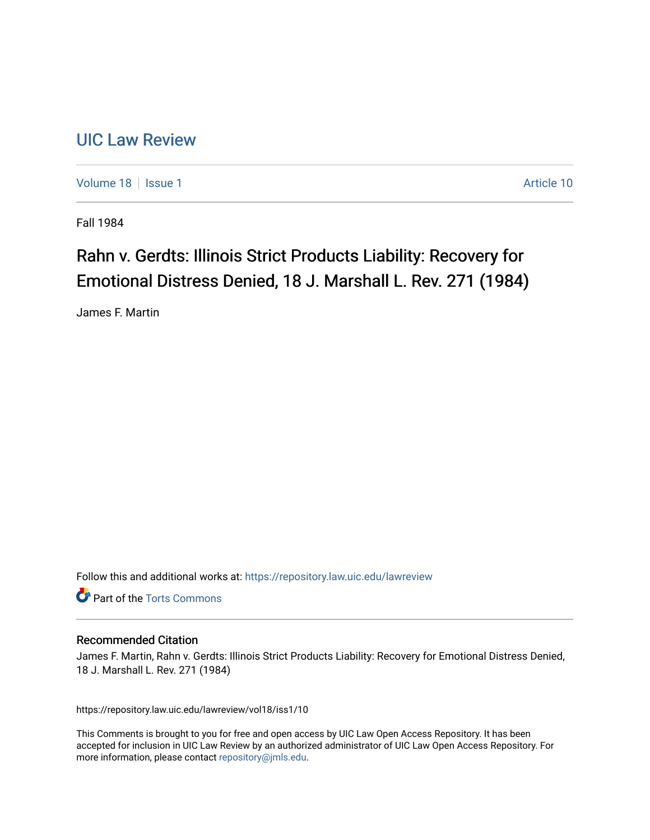## [UIC Law Review](https://repository.law.uic.edu/lawreview)

[Volume 18](https://repository.law.uic.edu/lawreview/vol18) | [Issue 1](https://repository.law.uic.edu/lawreview/vol18/iss1) Article 10

Fall 1984

## Rahn v. Gerdts: Illinois Strict Products Liability: Recovery for Emotional Distress Denied, 18 J. Marshall L. Rev. 271 (1984)

James F. Martin

Follow this and additional works at: [https://repository.law.uic.edu/lawreview](https://repository.law.uic.edu/lawreview?utm_source=repository.law.uic.edu%2Flawreview%2Fvol18%2Fiss1%2F10&utm_medium=PDF&utm_campaign=PDFCoverPages) 

**Part of the [Torts Commons](http://network.bepress.com/hgg/discipline/913?utm_source=repository.law.uic.edu%2Flawreview%2Fvol18%2Fiss1%2F10&utm_medium=PDF&utm_campaign=PDFCoverPages)** 

## Recommended Citation

James F. Martin, Rahn v. Gerdts: Illinois Strict Products Liability: Recovery for Emotional Distress Denied, 18 J. Marshall L. Rev. 271 (1984)

https://repository.law.uic.edu/lawreview/vol18/iss1/10

This Comments is brought to you for free and open access by UIC Law Open Access Repository. It has been accepted for inclusion in UIC Law Review by an authorized administrator of UIC Law Open Access Repository. For more information, please contact [repository@jmls.edu.](mailto:repository@jmls.edu)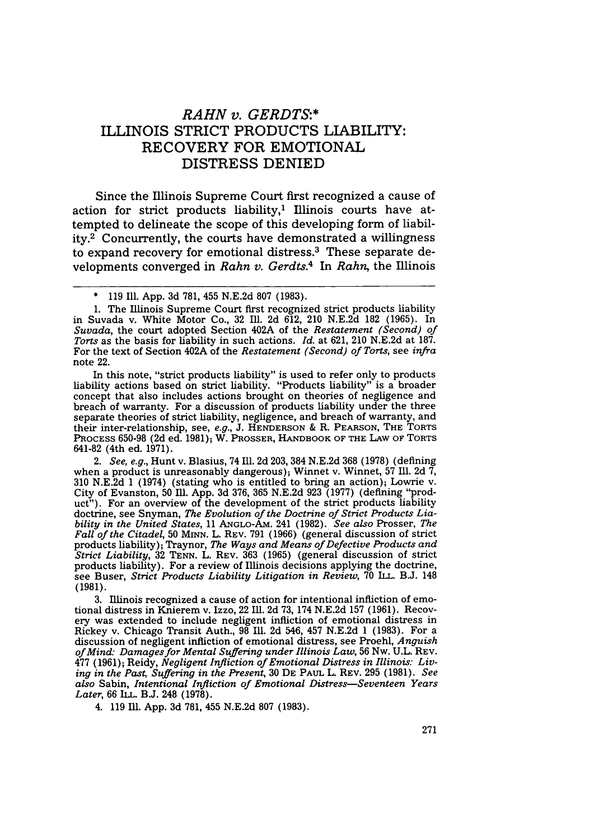## *RAHN v. GERDTS:\** ILLINOIS STRICT **PRODUCTS** LIABILITY: RECOVERY FOR EMOTIONAL DISTRESS DENIED

Since the Illinois Supreme Court first recognized a cause of action for strict products liability,<sup>1</sup> Illinois courts have attempted to delineate the scope of this developing form of liability.2 Concurrently, the courts have demonstrated a willingness to expand recovery for emotional distress.3 These separate developments converged in *Rahn v. Gerdts.4* In *Rahn,* the Illinois

In this note, "strict products liability" is used to refer only to products liability actions based on strict liability. "Products liability" is a broader concept that also includes actions brought on theories of negligence and breach of warranty. For a discussion of products liability under the three separate theories of strict liability, negligence, and breach of warranty, and their inter-relationship, see, *e.g.,* J. **HENDERSON** & R. **PEARSON,** THE TORTS PROCESS 650-98 (2d ed. 1981); W. PROSSER, HANDBOOK OF THE LAW OF TORTS 641-82 (4th ed. 1971).

*2. See, e.g.,* Hunt v. Blasius, 74 Ill. 2d 203, 384 N.E.2d 368 (1978) (defining when a product is unreasonably dangerous); Winnet v. Winnet, 57 Ill. 2d  $\bar{7}$ , 310 N.E.2d 1 (1974) (stating who is entitled to bring an action); Lowrie v. City of Evanston, 50 Ill. App. 3d 376, 365 N.E.2d 923 (1977) (defining "product"). For an overview of the development of the strict products liability doctrine, see Snyman, *The Evolution of the Doctrine of Strict Products Liability in the United States,* 11 ANGLO-AM. 241 (1982). *See also* Prosser, *The Fall of the Citadel,* 50 MrNN. L. REV. 791 (1966) (general discussion of strict products liability); Traynor, *The Ways and Means of Defective Products and Strict Liability,* 32 TENN. L. REV. 363 (1965) (general discussion of strict products liability). For a review of Illinois decisions applying the doctrine, see Buser, *Strict Products Liability Litigation in Review,* 70 ILL. B.J. 148 **(1981).**

3. Illinois recognized a cause of action for intentional infliction of emotional distress in Knierem v. Izzo, 22 Ill. 2d 73, 174 N.E.2d 157 (1961). Recovery was extended to include negligent infliction of emotional distress in Rickey v. Chicago Transit Auth., 98 Ill. 2d 546, 457 N.E.2d 1 (1983). For a discussion of negligent infliction of emotional distress, see Proehl, *Anguish of Mind: Damages for Mental Suffering under Illinois Law,* 56 Nw. U.L. REV. 477 (1961); Reidy, *Negligent Infliction of Emotional Distress in Illinois. Living in the Past, Suffering in the Present,* 30 **DE** PAUL L. REv. 295 (1981). *See also* Sabin, *Intentional Infliction of Emotional Distress-Seventeen Years Later,* 66 ILL. B.J. 248 (1978).

4. 119 Ill. App. 3d 781, 455 N.E.2d 807 (1983).

<sup>119</sup> Ill. App. 3d 781, 455 N.E.2d 807 (1983).

<sup>1.</sup> The Illinois Supreme Court first recognized strict products liability in Suvada v. White Motor Co., 32 Ill. 2d 612, 210 N.E.2d 182 (1965). In *Suvada,* the court adopted Section 402A of the *Restatement (Second) of Torts* as the basis for liability in such actions. *Id.* at 621, 210 N.E.2d at 187. For the text of Section 402A of the *Restatement (Second) of Torts,* see *infra* note 22.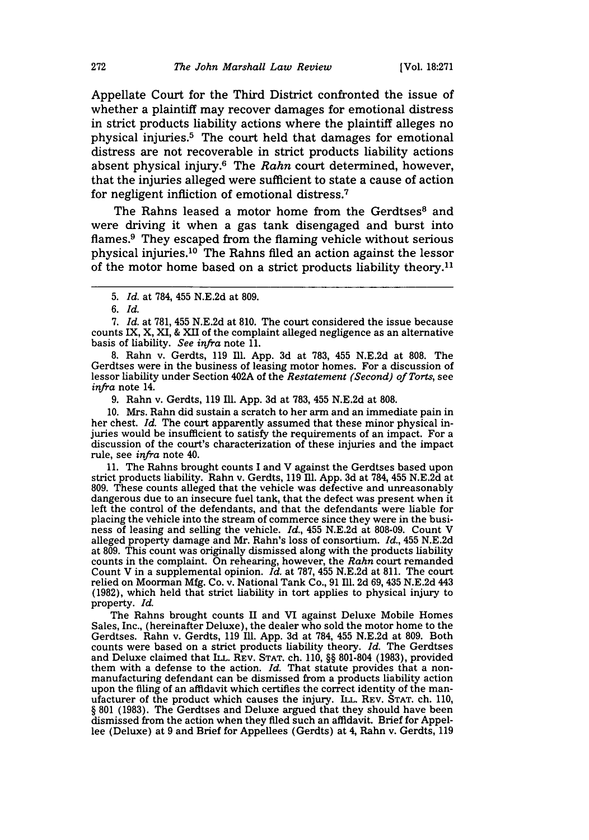Appellate Court for the Third District confronted the issue of whether a plaintiff may recover damages for emotional distress in strict products liability actions where the plaintiff alleges no physical injuries.5 The court held that damages for emotional distress are not recoverable in strict products liability actions absent physical injury.6 The *Rahn* court determined, however, that the injuries alleged were sufficient to state a cause of action for negligent infliction of emotional distress.<sup>7</sup>

The Rahns leased a motor home from the Gerdtses<sup>8</sup> and were driving it when a gas tank disengaged and burst into flames.9 They escaped from the flaming vehicle without serious physical injuries. 10 The Rahns filed an action against the lessor of the motor home based on a strict products liability theory.<sup>11</sup>

6. *Id.*

7. *Id.* at 781, 455 N.E.2d at 810. The court considered the issue because counts IX, X, XI, & XII of the complaint alleged negligence as an alternative basis of liability. *See infra* note 11.

8. Rahn v. Gerdts, 119 Ill. App. 3d at 783, 455 N.E.2d at 808. The Gerdtses were in the business of leasing motor homes. For a discussion of lessor liability under Section 402A of the *Restatement (Second) of Torts,* see *infra* note 14.

9. Rahn v. Gerdts, 119 Ill. App. 3d at 783, 455 N.E.2d at 808.

10. Mrs. Rahn did sustain a scratch to her arm and an immediate pain in her chest. *Id.* The court apparently assumed that these minor physical injuries would be insufficient to satisfy the requirements of an impact. For a discussion of the court's characterization of these injuries and the impact rule, see *infra* note 40.

11. The Rahns brought counts I and V against the Gerdtses based upon strict products liability. Rahn v. Gerdts, 119 **111.** App. 3d at 784, 455 N.E.2d at 809. These counts alleged that the vehicle was defective and unreasonably dangerous due to an insecure fuel tank, that the defect was present when it left the control of the defendants, and that the defendants were liable for placing the vehicle into the stream of commerce since they were in the business of leasing and selling the vehicle. *Id.,* 455 N.E.2d at 808-09. Count V alleged property damage and Mr. Rahn's loss of consortium. *Id.,* 455 N.E.2d at 809. This count was originally dismissed along with the products liability counts in the complaint. On rehearing, however, the *Rahn* court remandec Count V in a supplemental opinion. *Id.* at 787, 455 N.E.2d at 811. The court relied on Moorman Mfg. Co. v. National Tank Co., 91 M11. 2d 69, 435 N.E.2d 443 (1982), which held that strict liability in tort applies to physical injury to property. *Id.*

The Rahns brought counts II and VI against Deluxe Mobile Homes Sales, Inc., (hereinafter Deluxe), the dealer who sold the motor home to the Gerdtses. Rahn v. Gerdts, 119 Ill. App. 3d at 784, 455 N.E.2d at 809. Both counts were based on a strict products liability theory. *Id.* The Gerdtses and Deluxe claimed that ILL. REV. **STAT.** ch. **110,** §§ **801-804 (1983),** provided them with a defense to the action. *Id.* That statute provides that a non-<br>manufacturing defendant can be dismissed from a products liability action manufacturing defendant can be dismissed from a products liability action upon the filing of an affidavit which certifies the correct identity of the manufacturer of the product which causes the injury. ILL. REV. **STAT.** ch. 110, § 801 (1983). The Gerdtses and Deluxe argued that they should have been dismissed from the action when they filed such an affidavit. Brief for Appellee (Deluxe) at 9 and Brief for Appellees (Gerdts) at 4, Rahn v. Gerdts, 119

*<sup>5.</sup> Id.* at 784, 455 N.E.2d at 809.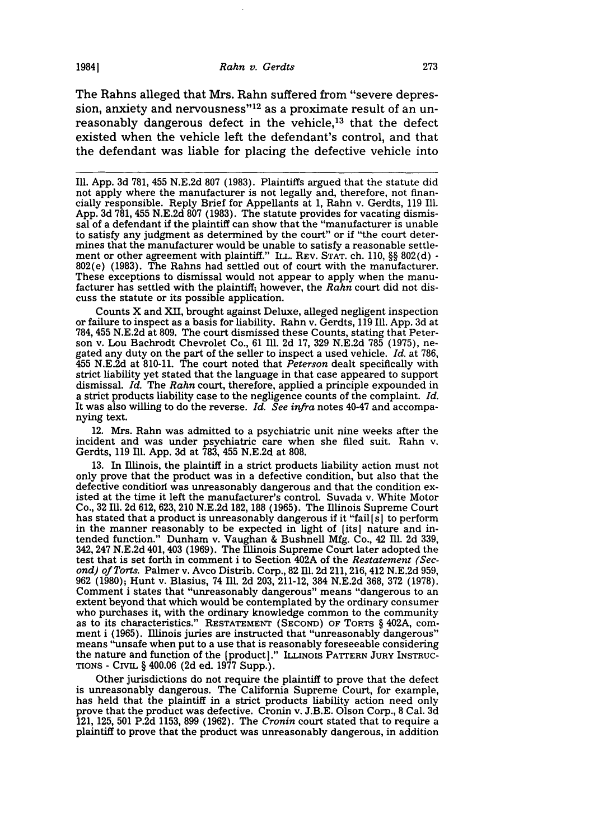19841

The Rahns alleged that Mrs. Rahn suffered from "severe depression, anxiety and nervousness" $12$  as a proximate result of an unreasonably dangerous defect in the vehicle,<sup>13</sup> that the defect existed when the vehicle left the defendant's control, and that the defendant was liable for placing the defective vehicle into

Ill. **App. 3d** 781, 455 N.E.2d 807 (1983). Plaintiffs argued that the statute did not apply where the manufacturer is not legally and, therefore, not financially responsible. Reply Brief for Appellants at 1, Rahn v. Gerdts, 119 Ill. App. 3d 781, 455 N.E.2d 807 (1983). The statute provides for vacating dismissal of a defendant if the plaintiff can show that the "manufacturer is unable to satisfy any judgment as determined by the court" or if "the court determines that the manufacturer would be unable to satisfy a reasonable settlement or other agreement with plaintiff." ILL. REV. **STAT.** ch. 110, §§ 802(d) - 802(e) (1983). The Rahns had settled out of court with the manufacturer. These exceptions to dismissal would not appear to apply when the manufacturer has settled with the plaintiff; however, the *Rahn* court did not dis- cuss the statute or its possible application.

Counts X and XII, brought against Deluxe, alleged negligent inspection or failure to inspect as a basis for liability. Rahn v. Gerdts, 119 Ill. App. 3d at 784, 455 N.E.2d at 809. The court dismissed these Counts, stating that Peterson v. Lou Bachrodt Chevrolet Co., 61 Ill. 2d 17, 329 N.E.2d 785 (1975), negated any duty on the part of the seller to inspect a used vehicle. Id. 455 N.E.2d at 810-11. The court noted that *Peterson* dealt specifically with strict liability yet stated that the language in that case appeared to support dismissal. *Id.* The *Rahn* court, therefore, applied a principle expounded in a strict products liability case to the negligence counts of the complaint. *Id.* It was also willing to do the reverse. *Id. See infra* notes 40-47 and accompanying text.

12. Mrs. Rahn was admitted to a psychiatric unit nine weeks after the incident and was under psychiatric care when she filed suit. Rahn v. Gerdts, 119 Ill. App. 3d at 783, 455 N.E.2d at 808.

13. In Illinois, the plaintiff in a strict products liability action must not only prove that the product was in a defective condition, but also that the defective condition was unreasonably dangerous and that the condition existed at the time it left the manufacturer's control. Suvada v. White Motor Co., 32 Ill. 2d 612, 623, 210 N.E.2d 182, 188 (1965). The Illinois Supreme Court has stated that a product is unreasonably dangerous if it "fail **[s]** to perform in the manner reasonably to be expected in light of (its] nature and intended function." Dunham v. Vaughan & Bushnell Mfg. Co., 42 Ill. 2d 339, 342, 247 N.E.2d 401, 403 (1969). The Illinois Supreme Court later adopted the test that is set forth in comment i to Section 402A of the *Restatement (Second) of Torts.* Palmer v. Avco Distrib. Corp., **82** Ill. 2d 211, 216, 412 N.E.2d 959, 962 (1980); Hunt v. Blasius, 74 Ill. 2d 203, 211-12, 384 N.E.2d 368, 372 (1978). Comment i states that "unreasonably dangerous" means "dangerous to an extent beyond that which would be contemplated by the ordinary consumer as to its characteristics." RESTATEMENT (SECOND) OF TORTS § 402A, comment i (1965). Illinois juries are instructed that "unreasonably dangerous" means "unsafe when put to a use that is reasonably foreseeable considering the nature and function of the (product)." ILLINOIS PATTERN JURY INSTRUC-**TIONS** - CrvuL § 400.06 (2d ed. 1977 Supp.).

Other jurisdictions do not require the plaintiff to prove that the defect is unreasonably dangerous. The California Supreme Court, for example, has held that the plaintiff in a strict products liability action need only prove that the product was defective. Cronin v. J.B.E. Olson Corp., **8** Cal. 3d 121, 125, 501 P.2d 1153, 899 (1962). The *Cronin* court stated that to require a plaintiff to prove that the product was unreasonably dangerous, in addition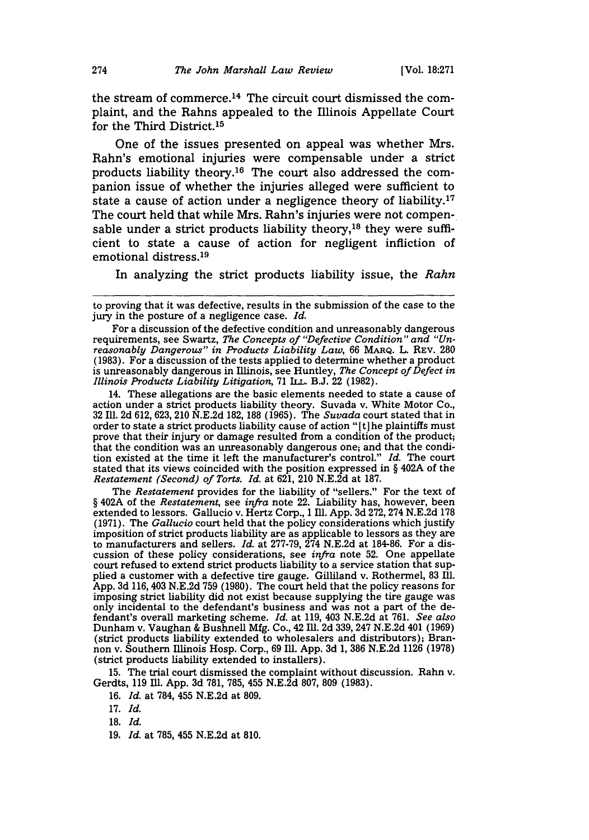the stream of commerce. 14 The circuit court dismissed the complaint, and the Rahns appealed to the Illinois Appellate Court for the Third District.<sup>15</sup>

One of the issues presented on appeal was whether Mrs. Rahn's emotional injuries were compensable under a strict products liability theory. 16 The court also addressed the companion issue of whether the injuries alleged were sufficient to state a cause of action under a negligence theory of liability.<sup>17</sup> The court held that while Mrs. Rahn's injuries were not compensable under a strict products liability theory,<sup>18</sup> they were sufficient to state a cause of action for negligent infliction of emotional distress. <sup>19</sup>

In analyzing the strict products liability issue, the *Rahn*

14. These allegations are the basic elements needed to state a cause of action under a strict products liability theory. Suvada v. White Motor Co., 32 Ill. 2d 612, 623, 210 N.E.2d 182, 188 (1965). The *Suvada* court stated that in order to state a strict products liability cause of action "[t]he plaintiffs must prove that their injury or damage resulted from a condition of the product; that the condition was an unreasonably dangerous one; and that the condition existed at the time it left the manufacturer's control." *Id.* The court stated that its views coincided with the position expressed in § 402A of the *Restatement (Second) of Torts. Id.* at 621, 210 N.E.2d at 187.

The *Restatement* provides for the liability of "sellers." For the text of § 402A of the *Restatement,* see *infra* note 22. Liability has, however, been extended to lessors. Gallucio v. Hertz Corp., 1 Ill. App. 3d 272, 274 N.E.2d 178 (1971). The *Gallucio* court held that the policy considerations which justify imposition of strict products liability are as applicable to lessors as they are to manufacturers and sellers. *Id.* at 277-79, 274 N.E.2d at 184-86. For a discussion of these policy considerations, see *inf/ra* note 52. One appellate court refused to extend strict products liability to a service station that supplied a customer with a defective tire gauge. Gilliland v. Rothermel, 83 Ill. App. 3d 116, 403 N.E.2d 759 (1980). The court held that the policy reasons for imposing strict liability did not exist because supplying the tire gauge was only incidental to the defendant's business and was not a part of the defendant's overall marketing scheme. *Id.* at 119, 403 N.E.2d at 761. *See also* Dunham v. Vaughan **&** Bushnell Mfg. Co., 42 Ill. 2d 339, 247 N.E.2d 401 (1969) (strict products liability extended to wholesalers and distributors); Bran- non v. Southern Illinois Hosp. Corp., 69 Ill. App. 3d 1, 386 N.E.2d 1126 (1978) (strict products liability extended to installers).

15. The trial court dismissed the complaint without discussion. Rahn v. Gerdts, 119 Ill. App. 3d 781, 785, 455 N.E.2d 807, 809 (1983).

16. *Id.* at 784, 455 N.E.2d at 809.

**18.** *Id.*

19. *Id.* at 785, 455 N.E.2d at 810.

to proving that it was defective, results in the submission of the case to the jury in the posture of a negligence case. *Id.*

For a discussion of the defective condition and unreasonably dangerous requirements, see Swartz, *The Concepts of "Defective Condition" and "Unreasonably Dangerous" in Products Liability Law,* 66 MARQ. L. REV. 280 (1983). For a discussion of the tests applied to determine whether a product is unreasonably dangerous in Illinois, see Huntley, *The Concept of Defect in Illinois Products Liability Litigation,* 71 ILL. B.J. 22 (1982).

<sup>17.</sup> *Id.*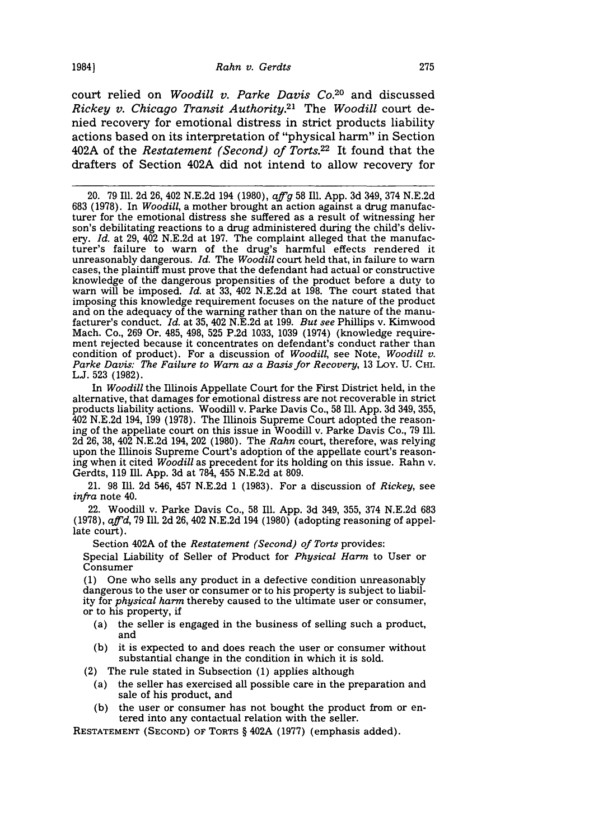court relied on *Woodill v. Parke Davis Co.20* and discussed *Rickey v. Chicago Transit Authority.21* The *Woodill* court denied recovery for emotional distress in strict products liability actions based on its interpretation of "physical harm" in Section 402A of the *Restatement (Second) of Torts.22* It found that the drafters of Section 402A did not intend to allow recovery for

20. 79 Ill. 2d 26, 402 N.E.2d 194 (1980), *aff'g* 58 Ill. App. 3d 349, 374 N.E.2d 683 (1978). In *Woodill,* a mother brought an action against a drug manufacturer for the emotional distress she suffered as a result of witnessing her son's debilitating reactions to a drug administered during the child's delivery. *Id.* at 29, 402 N.E.2d at 197. The complaint alleged that the manufacturer's failure to warn of the drug's harmful effects rendered it unreasonably dangerous. *Id.* The *Woodill* court held that, in failure to warn cases, the plaintiff must prove that the defendant had actual or constructive knowledge of the dangerous propensities of the product before a duty to warn will be imposed. *Id.* at 33, 402 N.E.2d at 198. The court stated that imposing this knowledge requirement focuses on the nature of the product and on the adequacy of the warning rather than on the nature of the manufacturer's conduct. *Id.* at 35, 402 N.E.2d at 199. *But see* Phillips v. Kimwood Mach. Co., 269 Or. 485, 498, 525 P.2d 1033, 1039 (1974) (knowledge requirement rejected because it concentrates on defendant's conduct rather than condition of product). For a discussion of *Woodill*, see Note, *Woodill v.* Parke Davis: The Failure to Warn as a Basis for Recovery, 13 LOY. U. CHI. **L.J.** 523 (1982).

In *Woodill* the Illinois Appellate Court for the First District held, in the alternative, that damages for emotional distress are not recoverable in strict products liability actions. Woodill v. Parke Davis Co., 58 **Ill.** App. 3d 349, 355, 402 N.E.2d 194, 199 (1978). The Illinois Supreme Court adopted the reasoning of the appellate court on this issue in Woodill v. Parke Davis Co., 79 Ill. 2d 26, 38, 402 N.E.2d 194, 202 (1980). The *Rahn* court, therefore, was relying upon the Illinois Supreme Court's adoption of the appellate court's reasoning when it cited *Woodill* as precedent for its holding on this issue. Rahn v. Gerdts, 119 Ill. App. 3d at 784, 455 N.E.2d at 809.

21. 98 Ill. 2d 546, 457 N.E.2d 1 (1983). For a discussion of *Rickey,* see *infra* note 40.

22. Woodill v. Parke Davis Co., 58 Ill. App. 3d 349, 355, 374 N.E.2d 683 (1978), *affid,* 79 Ill. 2d 26, 402 N.E.2d 194 (1980) (adopting reasoning of appellate court).

Section 402A of the *Restatement (Second) of Torts* provides:

Special Liability of Seller of Product for *Physical Harm* to User or Consumer

(1) One who sells any product in a defective condition unreasonably dangerous to the user or consumer or to his property is subject to liability for *physical harm* thereby caused to the ultimate user or consumer, or to his property, if

- (a) the seller is engaged in the business of selling such a product, and
- **(b)** it is expected to and does reach the user or consumer without substantial change in the condition in which it is sold.
- (2) The rule stated in Subsection (1) applies although
	- (a) the seller has exercised all possible care in the preparation and sale of his product, and
	- (b) the user or consumer has not bought the product from or entered into any contactual relation with the seller.

**RESTATEMENT** (SEcoND) OF TORTS § 402A (1977) (emphasis added).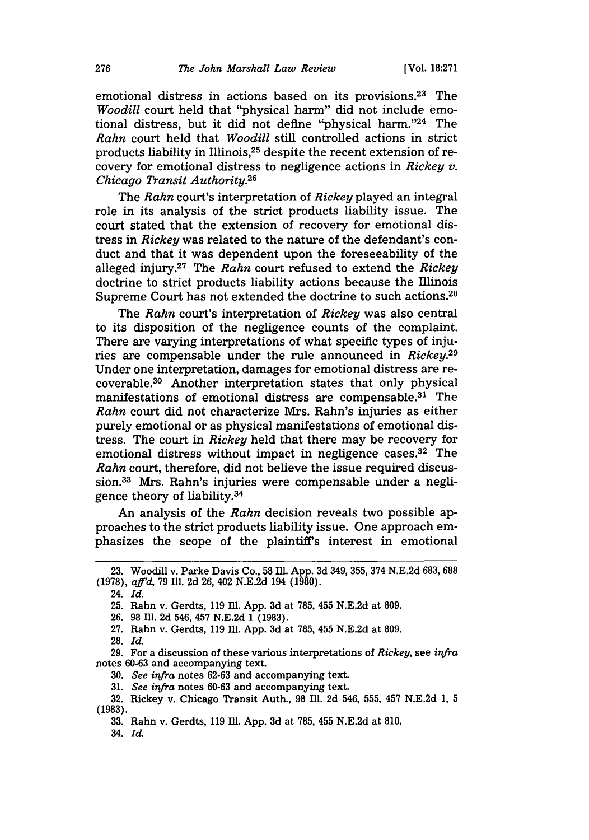emotional distress in actions based on its provisions.<sup>23</sup> The *Woodill* court held that "physical harm" did not include emotional distress, but it did not define "physical harm. '24 The *Rahn* court held that *Woodill* still controlled actions in strict products liability in Illinois, 25 despite the recent extension of recovery for emotional distress to negligence actions in *Rickey v. Chicago Transit Authority.26*

The *Rahn* court's interpretation of *Rickey* played an integral role in its analysis of the strict products liability issue. The court stated that the extension of recovery for emotional distress in *Rickey* was related to the nature of the defendant's conduct and that it was dependent upon the foreseeability of the alleged injury.27 The *Rahn* court refused to extend the *Rickey* doctrine to strict products liability actions because the Illinois Supreme Court has not extended the doctrine to such actions.<sup>28</sup>

The *Rahn* court's interpretation of *Rickey* was also central to its disposition of the negligence counts of the complaint. There are varying interpretations of what specific types of injuries are compensable under the rule announced in *Rickey.29* Under one interpretation, damages for emotional distress are recoverable. 30 Another interpretation states that only physical manifestations of emotional distress are compensable. $31$  The *Rahn* court did not characterize Mrs. Rahn's injuries as either purely emotional or as physical manifestations of emotional distress. The court in *Rickey* held that there may be recovery for emotional distress without impact in negligence cases.<sup>32</sup> The *Rahn* court, therefore, did not believe the issue required discussion.33 Mrs. Rahn's injuries were compensable under a negligence theory of liability.34

An analysis of the *Rahn* decision reveals two possible approaches to the strict products liability issue. One approach emphasizes the scope of the plaintiff's interest in emotional

24. *Id.*

- 26. 98 Ill. 2d 546, 457 N.E.2d 1 (1983).
- 27. Rahn v. Gerdts, 119 Ill. App. 3d at 785, 455 N.E.2d at 809.
- 28. *Id.*

- 30. *See infra* notes 62-63 and accompanying text.
- 31. *See infra* notes 60-63 and accompanying text.
- 32. Rickey v. Chicago Transit Auth., 98 Ill. 2d 546, 555, 457 N.E.2d 1, 5 **(1983).**
	- **33.** Rahn v. Gerdts, **119 Ill. App. 3d** at **785,** 455 **N.E.2d** at **810.**

34. *Id.*

**<sup>23.</sup>** Woodill v. Parke Davis Co., 58 Ill. **App.** 3d **349,** 355, **374 N.E.2d 683,** 688 (1978), *affd,* 79 Ill. 2d 26, 402 N.E.2d 194 (1980).

<sup>25.</sup> Rahn v. Gerdts, 119 Ill. App. 3d at 785, 455 N.E.2d at 809.

<sup>29.</sup> For a discussion of these various interpretations of *Rickey,* see *infra* notes 60-63 and accompanying text.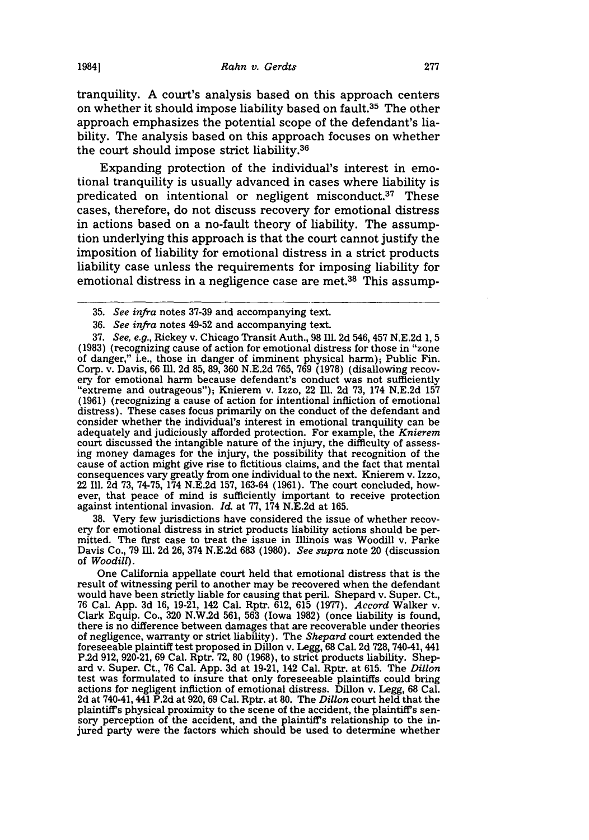tranquility. A court's analysis based on this approach centers on whether it should impose liability based on fault.<sup>35</sup> The other approach emphasizes the potential scope of the defendant's liability. The analysis based on this approach focuses on whether the court should impose strict liability.36

Expanding protection of the individual's interest in emotional tranquility is usually advanced in cases where liability is predicated on intentional or negligent misconduct.<sup>37</sup> These cases, therefore, do not discuss recovery for emotional distress in actions based on a no-fault theory of liability. The assumption underlying this approach is that the court cannot justify the imposition of liability for emotional distress in a strict products liability case unless the requirements for imposing liability for emotional distress in a negligence case are met.<sup>38</sup> This assump-

38. Very few jurisdictions have considered the issue of whether recov-<br>ery for emotional distress in strict products liability actions should be permitted. The first case to treat the issue in Illinois was Woodill v. Parke Davis Co., 79 1ll. 2d 26, 374 N.E.2d **683** (1980). *See supra* note 20 (discussion of *Woodill).*

One California appellate court held that emotional distress that is the result of witnessing peril to another may be recovered when the defendant would have been strictly liable for causing that peril. Shepard v. Super. Ct., 76 Cal. App. 3d 16, 19-21, 142 Cal. Rptr. 612, 615 (1977). *Accord* Walker v. Clark Equip. Co., 320 N.W.2d 561, 563 (Iowa 1982) (once liability is found, there is no difference between damages that are recoverable under theories of negligence, warranty or strict liability). The *Shepard* court extended the foreseeable plaintiff test proposed in Dillon v. Legg, 68 Cal. 2d 728, 740-41, 441 P.2d 912, 920-21, 69 Cal. Rptr. 72, 80 (1968), to strict products liability. Shepard v. Super. Ct., 76 Cal. App. 3d at 19-21, 142 Cal. Rptr. at 615. The *Dillon* test was formulated to insure that only foreseeable plaintiffs could bring actions for negligent infliction of emotional distress. Dillon v. Legg, 68 Cal. 2d at 740-41, 441 P.2d at 920, 69 Cal. Rptr. at 80. The *Dillon* court held that the plaintiff's physical proximity to the scene of the accident, the plaintiffs sen- sory perception of the accident, and the plaintiffs relationship to the injured party were the factors which should be used to determine whether

**1984]**

<sup>35.</sup> *See infra* notes 37-39 and accompanying text.

<sup>36.</sup> *See infra* notes 49-52 and accompanying text.

<sup>37.</sup> *See, e.g.,* Rickey v. Chicago Transit Auth., 98 Ill. 2d 546, 457 N.E.2d 1, 5 (1983) (recognizing cause of action for emotional distress for those in "zone of danger," i.e., those in danger of imminent physical harm); Public Fin. Corp. v. Davis, 66 Ill. 2d 85, 89, 360 N.E.2d 765, 769 (1978) (disallowing recovery for emotional harm because defendant's conduct was not sufficiently<br>"extreme and outrageous"); Knierem v. Izzo, 22 Ill. 2d 73, 174 N.E.2d "extreme and outrageous"); Knierem v. Izzo, 22 Ill. 2d 73, 174 N.E.2d 157 (1961) (recognizing a cause of action for intentional infliction of emotional distress). These cases focus primarily on the conduct of the defendant and consider whether the individual's interest in emotional tranquility can be adequately and judiciously afforded protection. For example, the *Knierem* court discussed the intangible nature of the injury, the difficulty of assessing money damages for the injury, the possibility that recognition of the cause of action might give rise to fictitious claims, and the fact that mental consequences vary greatly from one individual to the next. Knierem v. Izzo, 22 Ill. 2d 73, 74-75, 174 N.E.2d 157, 163-64 (1961). The court concluded, however, that peace of mind is sufficiently important to receive protection against intentional invasion. *Id.* at 77, 174 N.E.2d at 165.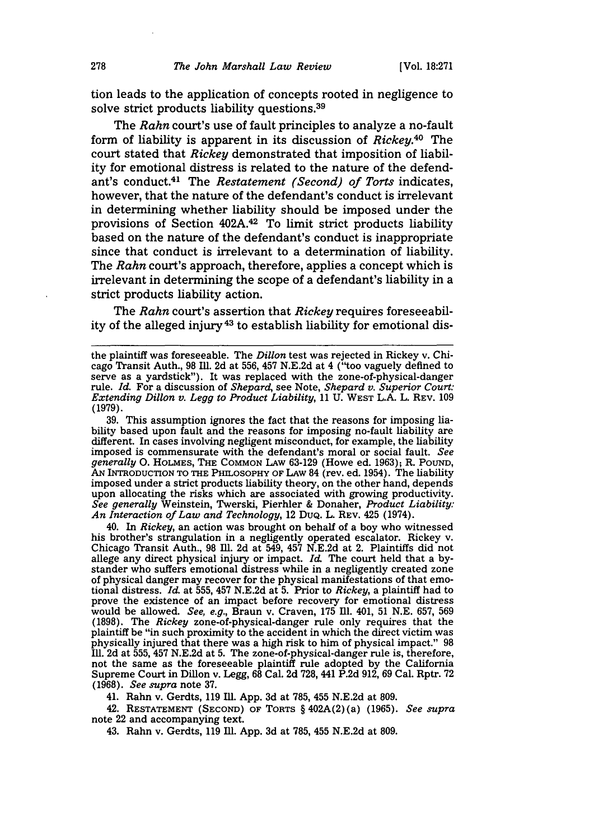tion leads to the application of concepts rooted in negligence to solve strict products liability questions. <sup>39</sup>

The *Rahn* court's use of fault principles to analyze a no-fault form of liability is apparent in its discussion of *Rickey.40* The court stated that *Rickey* demonstrated that imposition of liability for emotional distress is related to the nature of the defendant's conduct.<sup>41</sup> The *Restatement (Second) of Torts* indicates, however, that the nature of the defendant's conduct is irrelevant in determining whether liability should be imposed under the provisions of Section 402A.<sup>42</sup> To limit strict products liability based on the nature of the defendant's conduct is inappropriate since that conduct is irrelevant to a determination of liability. The *Rahn* court's approach, therefore, applies a concept which is irrelevant in determining the scope of a defendant's liability in a strict products liability action.

The *Rahn* court's assertion that *Rickey* requires foreseeability of the alleged injury<sup>43</sup> to establish liability for emotional dis-

39. This assumption ignores the fact that the reasons for imposing liability based upon fault and the reasons for imposing no-fault liability are different. In cases involving negligent misconduct, for example, the liability imposed is commensurate with the defendant's moral or social fault. *See generally* 0. **HOLMES, THE COMMON** LAw 63-129 (Howe ed. 1963); R. POUND, AN INTRODUCTION TO **THE PHILOSOPHY** OF LAw 84 (rev. ed. 1954). The liability imposed under a strict products liability theory, on the other hand, depends upon allocating the risks which are associated with growing productivity. *See generally* Weinstein, Twerski, Pierhler & Donaher, *Product Liability: An Interaction of Law and Technology,* 12 DUQ. L. REV. 425 (1974).

40. In *Rickey,* an action was brought on behalf of a boy who witnessed his brother's strangulation in a negligently operated escalator. Rickey v. Chicago Transit Auth., 98 Ill. 2d at 549, 457 N.E.2d at 2. Plaintiffs did not allege any direct physical injury or impact. *Id.* The court held that a by-<br>stander who suffers emotional distress while in a negligently created zone of physical danger may recover for the physical manifestations of that emotional distress. *Id.* at 555, 457 N.E.2d at 5. Prior to *Rickey*, a plaintiff had to prove the existence of an impact before recovery for emotional distress would be allowed. *See, e.g.,* Braun v. Craven, 175 **Ill.** 401, 51 N.E. 657, 569 (1898). The *Rickey* zone-of-physical-danger rule only requires that the plaintiff be "in such proximity to the accident in which the direct victim was physically injured that there was a high risk to him of physical impact." 98 Ill. 2d at 555, 457 N.E.2d at 5. The zone-of-physical-danger rule is, therefore, not the same as the foreseeable plaintiff rule adopted by the California Supreme Court in Dillon v. Legg, 68 Cal. 2d 728, 441 P.2d 912, 69 Cal. Rptr. 72 (1968). *See supra* note 37.

41. Rahn v. Gerdts, 119 Ill. App. 3d at 785, 455 N.E.2d at 809.

42. **RESTATEMENT (SECOND) OF** TORTS § 402A(2) (a) **(1965).** *See supra* note 22 and accompanying text.

43. Rahn v. Gerdts, 119 Ill. App. 3d at 785, 455 N.E.2d at 809.

the plaintiff was foreseeable. The *Dillon* test was rejected in Rickey v. Chicago Transit Auth., 98 IM. 2d at 556, 457 N.E.2d at 4 ("too vaguely defined to serve as a yardstick"). It was replaced with the zone-of-physical-danger rule. *Id.* For a discussion of *Shepard,* see Note, *Shepard v. Superior Court: Extending Dillon v. Legg to Product Liability,* 11 U. WEST L.A. L. REV. 109 (1979).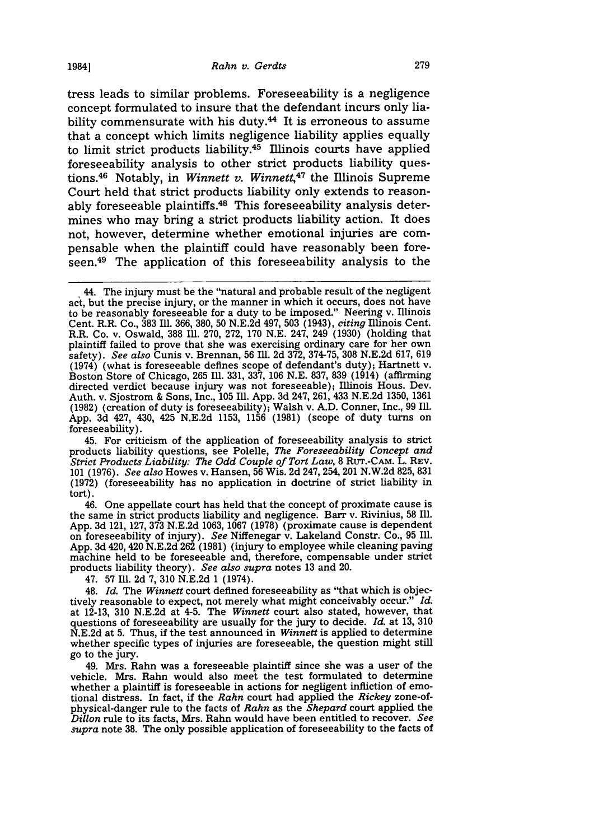tress leads to similar problems. Foreseeability is a negligence concept formulated to insure that the defendant incurs only liability commensurate with his duty. $44$  It is erroneous to assume that a concept which limits negligence liability applies equally to limit strict products liability.45 Illinois courts have applied foreseeability analysis to other strict products liability questions.<sup>46</sup> Notably, in *Winnett v. Winnett*,<sup>47</sup> the Illinois Supreme Court held that strict products liability only extends to reasonably foreseeable plaintiffs.<sup>48</sup> This foreseeability analysis determines who may bring a strict products liability action. It does not, however, determine whether emotional injuries are compensable when the plaintiff could have reasonably been foreseen.49 The application of this foreseeability analysis to the

45. For criticism of the application of foreseeability analysis to strict products liability questions, see Polelle, *The Foreseeability Concept and Strict Products Liability: The Odd Couple of Tort Law,* **8** RUT.-CAM. L. REV. 101 (1976). *See also* Howes v. Hansen, 56 Wis. 2d 247, 254, 201 N.W.2d 825, 831 (1972) (foreseeability has no application in doctrine of strict liability in tort).

46. One appellate court has held that the concept of proximate cause is the same in strict products liability and negligence. Barr v. Rivinius, 58 Ill. App. 3d 121, 127, 373 N.E.2d 1063, 1067 (1978) (proximate cause is dependent on foreseeability of injury). *See* Niffenegar v. Lakeland Constr. Co., 95 Ill. App. 3d 420,420 N.E.2d 262 (1981) (injury to employee while cleaning paving machine held to be foreseeable and, therefore, compensable under strict products liability theory). *See also supra* notes 13 and 20.

47. 57 Ill. 2d 7, 310 N.E.2d 1 (1974).

48. *Id.* The *Winnett* court defined foreseeability as "that which is objectively reasonable to expect, not merely what might conceivably occur." *Id.* at 12-13, 310 N.E.2d at 4-5. The *Winnett* court also stated, however, that questions of foreseeability are usually for the jury to decide. *Id.* at 13, 310 N.E.2d at 5. Thus, if the test announced in *Winnett* is applied to determine whether specific types of injuries are foreseeable, the question might still go to the jury.

49. Mrs. Rahn was a foreseeable plaintiff since she was a user of the vehicle. Mrs. Rahn would also meet the test formulated to determine whether a plaintiff is foreseeable in actions for negligent infliction of emotional distress. In fact, if the *Rahn* court had applied the *Rickey* zone-ofphysical-danger rule to the facts of *Rahn* as the *Shepard* court applied the *Dillon* rule to its facts, Mrs. Rahn would have been entitled to recover. *See supra* note 38. The only possible application of foreseeability to the facts of

<sup>44.</sup> The injury must be the "natural and probable result of the negligent act, but the precise injury, or the manner in which it occurs, does not have to be reasonably foreseeable for a duty to be imposed." Neering v. Illinois Cent. R.R. Co., 383 Ill. 366, 380, 50 N.E.2d 497, 503 (1943), *citing* Illinois Cent. R.R. Co. v. Oswald, 388 Ill. 270, 272, 170 N.E. 247, 249 (1930) (holding that plaintiff failed to prove that she was exercising ordinary care for her own safety). *See also* Cunis v. Brennan, 56 Ill. 2d 372, 374-75, 308 N.E.2d 617, 619 (1974) (what is foreseeable defines scope of defendant's duty); Hartnett v. Boston Store of Chicago, 265 Ill. 331, 337, 106 N.E. 837, 839 (1914) (affirming directed verdict because injury was not foreseeable); Illinois Hous. Dev. Auth. v. Sjostrom & Sons, Inc., 105 Ill. App. 3d 247, 261, 433 N.E.2d 1350, 1361 (1982) (creation of duty is foreseeability); Walsh v. A.D. Conner, Inc., 99 Ill. App. 3d 427, 430, 425 N.E.2d 1153, 1156 (1981) (scope of duty turns on foreseeability).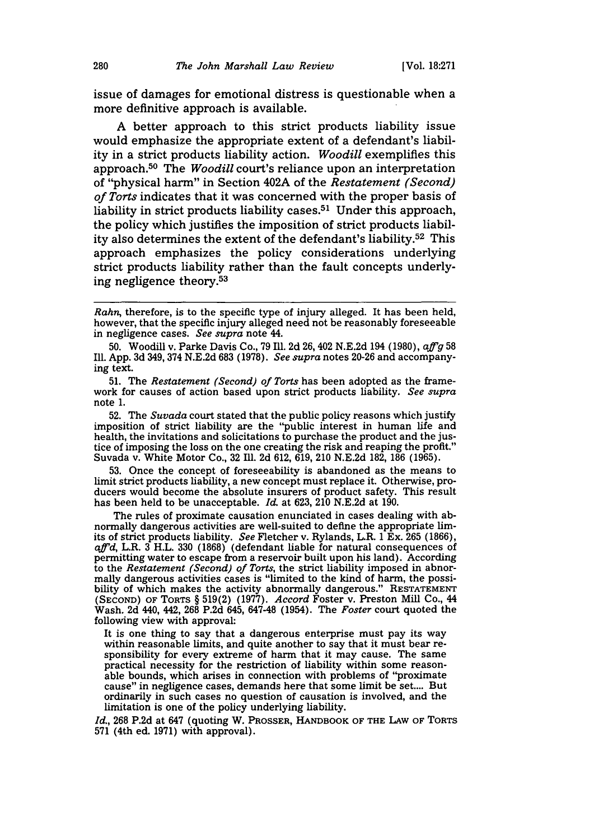issue of damages for emotional distress is questionable when a more definitive approach is available.

A better approach to this strict products liability issue would emphasize the appropriate extent of a defendant's liability in a strict products liability action. *Woodill* exemplifies this approach.50 The *Woodill* court's reliance upon an interpretation of "physical harm" in Section 402A of the *Restatement (Second) of Torts* indicates that it was concerned with the proper basis of liability in strict products liability cases.<sup>51</sup> Under this approach, the policy which justifies the imposition of strict products liability also determines the extent of the defendant's liability.52 This approach emphasizes the policy considerations underlying strict products liability rather than the fault concepts underlying negligence theory.53

**52.** The *Suvada* court stated that the public policy reasons which justify imposition of strict liability are the "public interest in human life and health, the invitations and solicitations to purchase the product and the justice of imposing the loss on the one creating the risk and reaping the profit." Suvada v. White Motor Co., **32** IlI. **2d 612, 619,** 210 **N.E.2d 182,** 186 **(1965).**

**53.** Once the concept of foreseeability is abandoned as the means to limit strict products liability, a new concept must replace it. Otherwise, producers would become the absolute insurers of product safety. This result has been held to be unacceptable. *Id.* at **623,** 210 **N.E.2d** at **190.**

The rules of proximate causation enunciated in cases dealing with abnormally dangerous activities are well-suited to define the appropriate limits of strict products liability. *See* Fletcher v. Rylands, L.R. 1 Ex. **265 (1866),** *affid,* L.R. **3** H.L. **330 (1868)** (defendant liable for natural consequences of permitting water to escape from a reservoir built upon his land). According to the *Restatement (Second) of Torts,* the strict liability imposed in abnormally dangerous activities cases is "limited to the kind of harm, the possibility of which makes the activity abnormally dangerous." **RESTATEMENT (SECOND)** OF TORTS § **519(2) (1977).** *Accord* Foster v. Preston Mill Co., 44 Wash. **2d** 440, 442, **268 P.2d** 645, 647-48 (1954). The *Foster* court quoted the following view with approval:

It is one thing to say that a dangerous enterprise must pay its way within reasonable limits, and quite another to say that it must bear responsibility for every extreme of harm that it may cause. The same practical necessity for the restriction of liability within some reasonable bounds, which arises in connection with problems of "proximate cause" in negligence cases, demands here that some limit be set.... But ordinarily in such cases no question of causation is involved, and the limitation is one of the policy underlying liability.

*Id.,* **268** P.2d at 647 (quoting W. PROSSER, HANDBOOK OF THE LAw **OF** TORTS 571 (4th ed. 1971) with approval).

*Rahn,* therefore, is to the specific type of injury alleged. It has been held, however, that the specific injury alleged need not be reasonably foreseeable in negligence cases. *See supra* note 44.

**<sup>50.</sup>** Woodill v. Parke Davis Co., **79** Ill. **2d** 26, 402 **N.E.2d** 194 **(1980),** *affg* **<sup>58</sup>** Ill. **App. 3d** 349, 374 **N.E.2d 683 (1978).** *See supra* notes **20-26** and accompanying text.

**<sup>51.</sup>** The *Restatement (Second) of Torts* has been adopted as the framework for causes of action based upon strict products liability. *See supra* note **1.**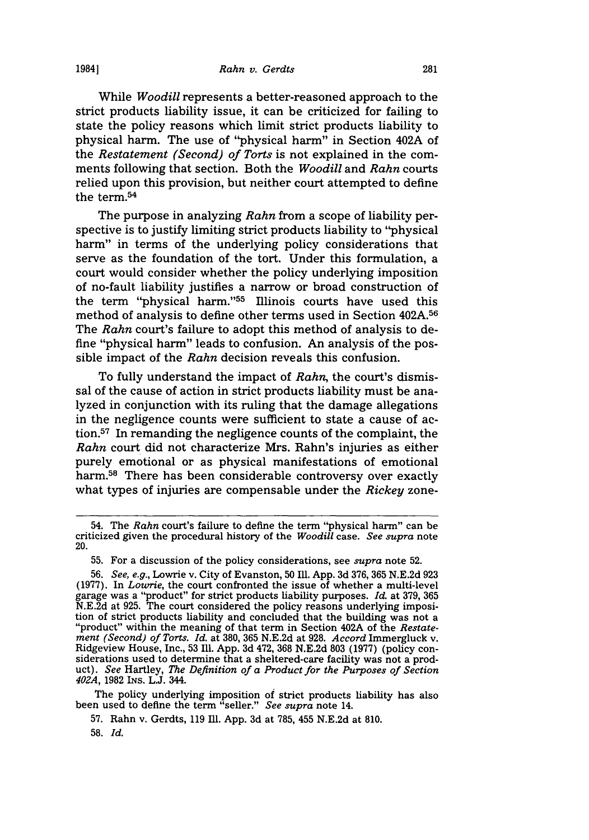While *Woodill* represents a better-reasoned approach to the strict products liability issue, it can be criticized for failing to state the policy reasons which limit strict products liability to physical harm. The use of "physical harm" in Section 402A of the *Restatement (Second) of Torts* is not explained in the comments following that section. Both the *Woodill* and *Rahn* courts relied upon this provision, but neither court attempted to define the term.54

The purpose in analyzing *Rahn* from a scope of liability perspective is to justify limiting strict products liability to "physical harm" in terms of the underlying policy considerations that serve as the foundation of the tort. Under this formulation, a court would consider whether the policy underlying imposition of no-fault liability justifies a narrow or broad construction of the term "physical harm."<sup>55</sup> Illinois courts have used this method of analysis to define other terms used in Section 402A.<sup>56</sup> The *Rahn* court's failure to adopt this method of analysis to define "physical harm" leads to confusion. An analysis of the possible impact of the *Rahn* decision reveals this confusion.

To fully understand the impact of *Rahn,* the court's dismissal of the cause of action in strict products liability must be analyzed in conjunction with its ruling that the damage allegations in the negligence counts were sufficient to state a cause of action. $57$  In remanding the negligence counts of the complaint, the *Rahn* court did not characterize Mrs. Rahn's injuries as either purely emotional or as physical manifestations of emotional harm.<sup>58</sup> There has been considerable controversy over exactly what types of injuries are compensable under the *Rickey* zone-

The policy underlying imposition of strict products liability has also been used to define the term "seller." *See supra* note 14.

<sup>54.</sup> The *Rahn* court's failure to define the term "physical harm" can be criticized given the procedural history of the *Woodill* case. *See supra* note 20.

<sup>55.</sup> For a discussion of the policy considerations, see *supra* note 52.

<sup>56.</sup> *See, e.g.,* Lowrie v. City of Evanston, 50 Ill. App. 3d 376, 365 N.E.2d 923 (1977). In *Lowrie,* the court confronted the issue of whether a multi-level garage was a "product" for strict products liability purposes. *Id* at 379, **365** N.E.2d at 925. The court considered the policy reasons underlying imposition of strict products liability and concluded that the building was not a "product" within the meaning of that term in Section 402A of the *Restate ment (Second) of Torts. Id.* at 380, 365 N.E.2d at 928. *Accord* Immergluck v. Ridgeview House, Inc., 53 Ill. App. 3d 472, 368 N.E.2d 803 (1977) (policy considerations used to determine that a sheltered-care facility was not a prod- uct). *See* Hartley, *The Definition of a Product for the Purposes of Section 402A,* 1982 INs. **L.J.** 344.

<sup>57.</sup> Rahn v. Gerdts, 119 Ill. App. 3d at 785, 455 N.E.2d at 810.

<sup>58.</sup> *Id.*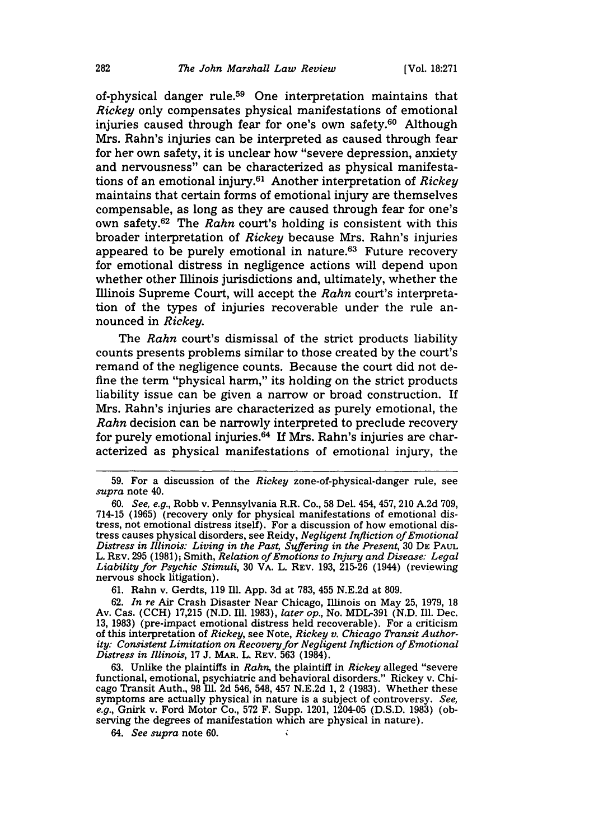of-physical danger rule.<sup>59</sup> One interpretation maintains that *Rickey* only compensates physical manifestations of emotional injuries caused through fear for one's own safety.<sup>60</sup> Although Mrs. Rahn's injuries can be interpreted as caused through fear for her own safety, it is unclear how "severe depression, anxiety and nervousness" can be characterized as physical manifestations of an emotional injury.61 Another interpretation of *Rickey* maintains that certain forms of emotional injury are themselves compensable, as long as they are caused through fear for one's own safety. 62 The *Rahn* court's holding is consistent with this broader interpretation of *Rickey* because Mrs. Rahn's injuries appeared to be purely emotional in nature.<sup>63</sup> Future recovery for emotional distress in negligence actions will depend upon whether other Illinois jurisdictions and, ultimately, whether the Illinois Supreme Court, will accept the *Rahn* court's interpretation of the types of injuries recoverable under the rule announced in *Rickey.*

The *Rahn* court's dismissal of the strict products liability counts presents problems similar to those created by the court's remand of the negligence counts. Because the court did not define the term "physical harm," its holding on the strict products liability issue can be given a narrow or broad construction. If Mrs. Rahn's injuries are characterized as purely emotional, the *Rahn* decision can be narrowly interpreted to preclude recovery for purely emotional injuries. 64 If Mrs. Rahn's injuries are characterized as physical manifestations of emotional injury, the

61. Rahn v. Gerdts, 119 Ill. App. 3d at 783, 455 N.E.2d at 809.

62. *In re* Air Crash Disaster Near Chicago, Illinois on May 25, 1979, 18 Av. Cas. (CCH) 17,215 (N.D. **Ill.** 1983), *later op.,* No. MDL-391 (N.D. Ill. Dec. 13, 1983) (pre-impact emotional distress held recoverable). For a criticism of this interpretation of *Rickey,* see Note, *Rickey v. Chicago Transit Authority: Consistent Limitation on Recovery for Negligent Infliction of Emotional Distress in Illinois,* 17 J. **MAR.** L. REV. 563 (1984).

63. Unlike the plaintiffs in *Rahn,* the plaintiff in *Rickey* alleged "severe functional, emotional, psychiatric and behavioral disorders." Rickey v. Chicago Transit Auth., 98 Ill. 2d 546, 548, 457 N.E.2d 1, 2 (1983). Whether these symptoms are actually physical in nature is a subject of controversy. *See, e.g.,* Gnirk v. Ford Motor Co., 572 F. Supp. 1201, 1204-05 (D.S.D. 1983) (observing the degrees of manifestation which are physical in nature).

*64. See supra* note 60.

<sup>59.</sup> For a discussion of the *Rickey* zone-of-physical-danger rule, see *supra* note 40.

<sup>60.</sup> *See, e.g.,* Robb v. Pennsylvania R.R. Co., 58 Del. 454, 457, 210 A.2d 709, 714-15 (1965) (recovery only for physical manifestations of emotional distress, not emotional distress itself). For a discussion of how emotional distress causes physical disorders, see Reidy, *Negligent Infliction of Emotional Distress in Illinois: Living in the Past, Suffering in the Present,* 30 DE PAUL L. REV. 295 (1981); Smith, *Relation of Emotions to Injury and Disease: Legal Liability for Psychic Stimuli,* 30 VA. L. REV. 193, 215-26 (1944) (reviewing nervous shock litigation).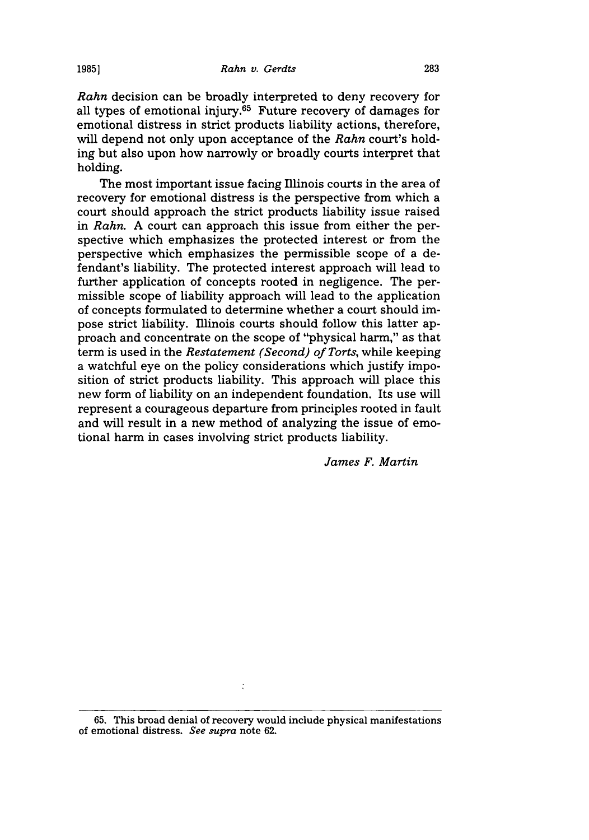*Rahn* decision can be broadly interpreted to deny recovery for all types of emotional injury.65 Future recovery of damages for emotional distress in strict products liability actions, therefore, will depend not only upon acceptance of the *Rahn* court's holding but also upon how narrowly or broadly courts interpret that holding.

The most important issue facing Illinois courts in the area of recovery for emotional distress is the perspective from which a court should approach the strict products liability issue raised in *Rahn.* A court can approach this issue from either the perspective which emphasizes the protected interest or from the perspective which emphasizes the permissible scope of a defendant's liability. The protected interest approach will lead to further application of concepts rooted in negligence. The permissible scope of liability approach will lead to the application of concepts formulated to determine whether a court should impose strict liability. Illinois courts should follow this latter approach and concentrate on the scope of "physical harm," as that term is used in the *Restatement (Second) of Torts,* while keeping a watchful eye on the policy considerations which justify imposition of strict products liability. This approach will place this new form of liability on an independent foundation. Its use will represent a courageous departure from principles rooted in fault and will result in a new method of analyzing the issue of emotional harm in cases involving strict products liability.

*James F. Martin*

 $\ddot{\cdot}$ 

**<sup>65.</sup>** This broad denial of recovery would include physical manifestations of emotional distress. *See supra* note 62.